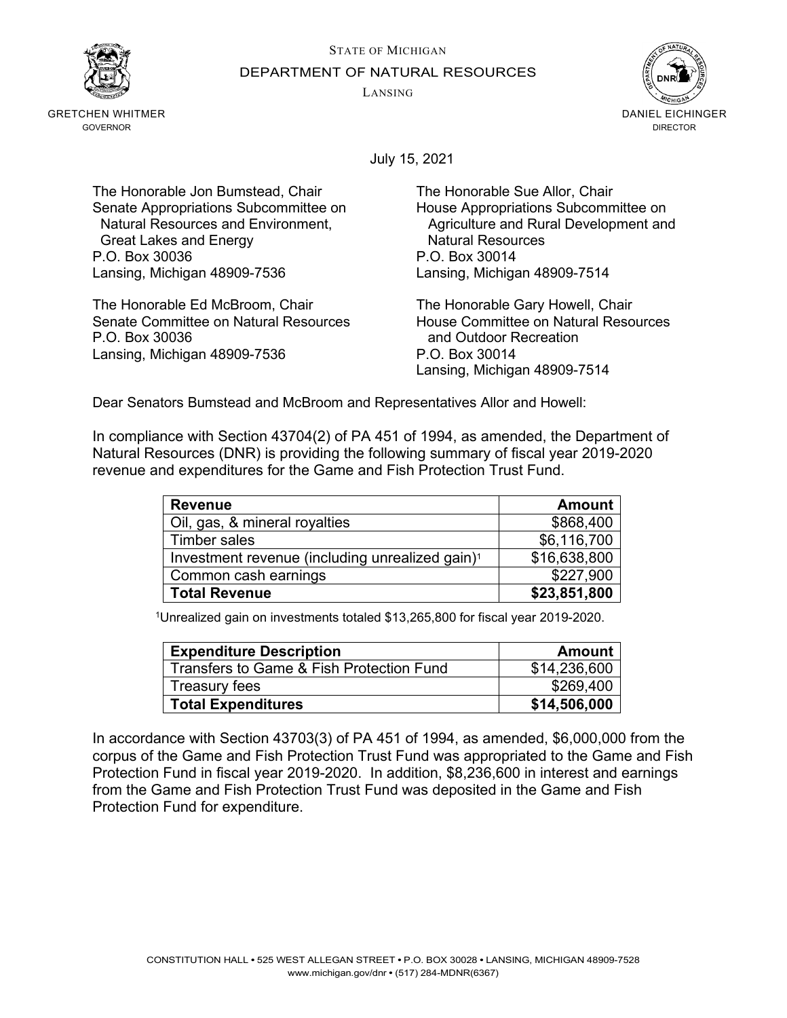STATE OF MICHIGAN



GRETCHEN WHITMER GOVERNOR

DEPARTMENT OF NATURAL RESOURCES

LANSING



July 15, 2021

The Honorable Jon Bumstead, Chair The Honorable Sue Allor, Chair Senate Appropriations Subcommittee on Fouse Appropriations Subcommittee on<br>Natural Resources and Environment, Appropriations and Rural Development and Great Lakes and Energy P.O. Box 30036 P.O. Box 30014 Lansing, Michigan 48909-7536 Lansing, Michigan 48909-7514

The Honorable Ed McBroom, Chair **The Honorable Gary Howell, Chair**<br>Senate Committee on Natural Resources **The House Committee on Natural Resources** Senate Committee on Natural Resources<br>P.O. Box 30036 Lansing, Michigan 48909-7536 P.O. Box 30014

Agriculture and Rural Development and Natural Resources

and Outdoor Recreation Lansing, Michigan 48909-7514

Dear Senators Bumstead and McBroom and Representatives Allor and Howell:

In compliance with Section 43704(2) of PA 451 of 1994, as amended, the Department of Natural Resources (DNR) is providing the following summary of fiscal year 2019-2020 revenue and expenditures for the Game and Fish Protection Trust Fund.

| <b>Revenue</b>                                              | <b>Amount</b> |
|-------------------------------------------------------------|---------------|
| Oil, gas, & mineral royalties                               | \$868,400     |
| Timber sales                                                | \$6,116,700   |
| Investment revenue (including unrealized gain) <sup>1</sup> | \$16,638,800  |
| Common cash earnings                                        | \$227,900     |
| <b>Total Revenue</b>                                        | \$23,851,800  |

1Unrealized gain on investments totaled \$13,265,800 for fiscal year 2019-2020.

| <b>Expenditure Description</b>           | Amount       |
|------------------------------------------|--------------|
| Transfers to Game & Fish Protection Fund | \$14,236,600 |
| Treasury fees                            | \$269,400    |
| <b>Total Expenditures</b>                | \$14,506,000 |

In accordance with Section 43703(3) of PA 451 of 1994, as amended, \$6,000,000 from the corpus of the Game and Fish Protection Trust Fund was appropriated to the Game and Fish Protection Fund in fiscal year 2019-2020. In addition, \$8,236,600 in interest and earnings from the Game and Fish Protection Trust Fund was deposited in the Game and Fish Protection Fund for expenditure.